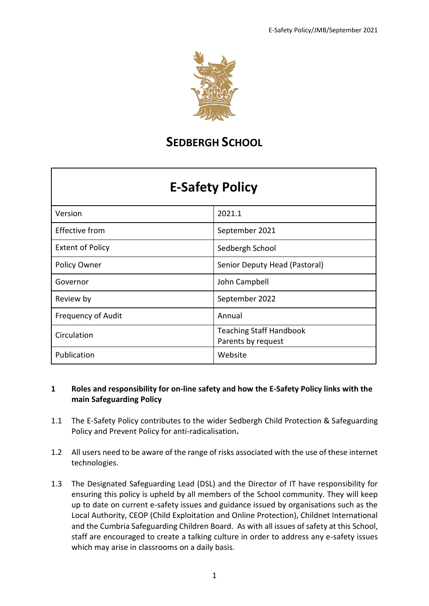

# **SEDBERGH SCHOOL**

| Version                   | 2021.1                                               |
|---------------------------|------------------------------------------------------|
| <b>Effective from</b>     | September 2021                                       |
| <b>Extent of Policy</b>   | Sedbergh School                                      |
| Policy Owner              | Senior Deputy Head (Pastoral)                        |
| Governor                  | John Campbell                                        |
| Review by                 | September 2022                                       |
| <b>Frequency of Audit</b> | Annual                                               |
| Circulation               | <b>Teaching Staff Handbook</b><br>Parents by request |
|                           |                                                      |
| Publication               | Website                                              |

## **1 Roles and responsibility for on-line safety and how the E-Safety Policy links with the main Safeguarding Policy**

- 1.1 The E-Safety Policy contributes to the wider Sedbergh Child Protection & Safeguarding Policy and Prevent Policy for anti-radicalisation**.**
- 1.2 All users need to be aware of the range of risks associated with the use of these internet technologies.
- 1.3 The Designated Safeguarding Lead (DSL) and the Director of IT have responsibility for ensuring this policy is upheld by all members of the School community. They will keep up to date on current e-safety issues and guidance issued by organisations such as the Local Authority, CEOP (Child Exploitation and Online Protection), Childnet International and the Cumbria Safeguarding Children Board. As with all issues of safety at this School, staff are encouraged to create a talking culture in order to address any e-safety issues which may arise in classrooms on a daily basis.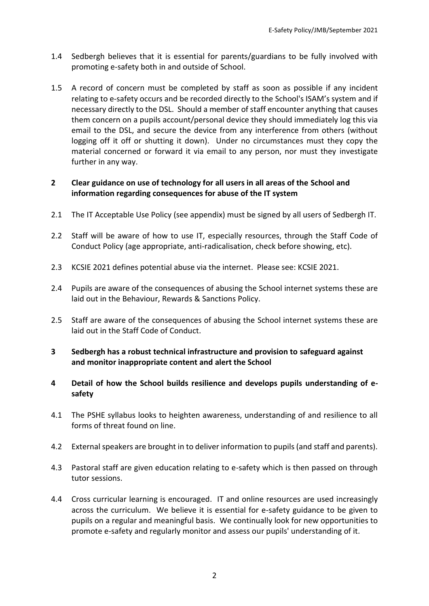- 1.4 Sedbergh believes that it is essential for parents/guardians to be fully involved with promoting e-safety both in and outside of School.
- 1.5 A record of concern must be completed by staff as soon as possible if any incident relating to e-safety occurs and be recorded directly to the School's ISAM's system and if necessary directly to the DSL. Should a member of staff encounter anything that causes them concern on a pupils account/personal device they should immediately log this via email to the DSL, and secure the device from any interference from others (without logging off it off or shutting it down). Under no circumstances must they copy the material concerned or forward it via email to any person, nor must they investigate further in any way.

## **2 Clear guidance on use of technology for all users in all areas of the School and information regarding consequences for abuse of the IT system**

- 2.1 The IT Acceptable Use Policy (see appendix) must be signed by all users of Sedbergh IT.
- 2.2 Staff will be aware of how to use IT, especially resources, through the Staff Code of Conduct Policy (age appropriate, anti-radicalisation, check before showing, etc).
- 2.3 KCSIE 2021 defines potential abuse via the internet. Please see: KCSIE 2021.
- 2.4 Pupils are aware of the consequences of abusing the School internet systems these are laid out in the Behaviour, Rewards & Sanctions Policy.
- 2.5 Staff are aware of the consequences of abusing the School internet systems these are laid out in the Staff Code of Conduct.
- **3 Sedbergh has a robust technical infrastructure and provision to safeguard against and monitor inappropriate content and alert the School**
- **4 Detail of how the School builds resilience and develops pupils understanding of esafety**
- 4.1 The PSHE syllabus looks to heighten awareness, understanding of and resilience to all forms of threat found on line.
- 4.2 External speakers are brought in to deliver information to pupils (and staff and parents).
- 4.3 Pastoral staff are given education relating to e-safety which is then passed on through tutor sessions.
- 4.4 Cross curricular learning is encouraged. IT and online resources are used increasingly across the curriculum. We believe it is essential for e-safety guidance to be given to pupils on a regular and meaningful basis. We continually look for new opportunities to promote e-safety and regularly monitor and assess our pupils' understanding of it.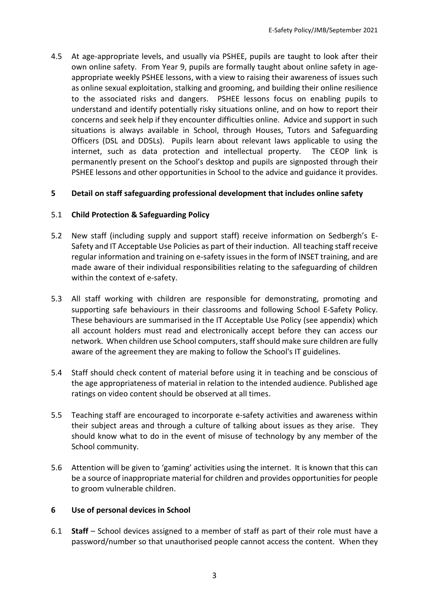4.5 At age-appropriate levels, and usually via PSHEE, pupils are taught to look after their own online safety. From Year 9, pupils are formally taught about online safety in ageappropriate weekly PSHEE lessons, with a view to raising their awareness of issues such as online sexual exploitation, stalking and grooming, and building their online resilience to the associated risks and dangers. PSHEE lessons focus on enabling pupils to understand and identify potentially risky situations online, and on how to report their concerns and seek help if they encounter difficulties online. Advice and support in such situations is always available in School, through Houses, Tutors and Safeguarding Officers (DSL and DDSLs). Pupils learn about relevant laws applicable to using the internet, such as data protection and intellectual property. The CEOP link is permanently present on the School's desktop and pupils are signposted through their PSHEE lessons and other opportunities in School to the advice and guidance it provides.

#### **5 Detail on staff safeguarding professional development that includes online safety**

#### 5.1 **Child Protection & Safeguarding Policy**

- 5.2 New staff (including supply and support staff) receive information on Sedbergh's E-Safety and IT Acceptable Use Policies as part of their induction. All teaching staff receive regular information and training on e-safety issues in the form of INSET training, and are made aware of their individual responsibilities relating to the safeguarding of children within the context of e-safety.
- 5.3 All staff working with children are responsible for demonstrating, promoting and supporting safe behaviours in their classrooms and following School E-Safety Policy. These behaviours are summarised in the IT Acceptable Use Policy (see appendix) which all account holders must read and electronically accept before they can access our network. When children use School computers, staff should make sure children are fully aware of the agreement they are making to follow the School's IT guidelines.
- 5.4 Staff should check content of material before using it in teaching and be conscious of the age appropriateness of material in relation to the intended audience. Published age ratings on video content should be observed at all times.
- 5.5 Teaching staff are encouraged to incorporate e-safety activities and awareness within their subject areas and through a culture of talking about issues as they arise. They should know what to do in the event of misuse of technology by any member of the School community.
- 5.6 Attention will be given to 'gaming' activities using the internet. It is known that this can be a source of inappropriate material for children and provides opportunities for people to groom vulnerable children.

#### **6 Use of personal devices in School**

6.1 **Staff** – School devices assigned to a member of staff as part of their role must have a password/number so that unauthorised people cannot access the content. When they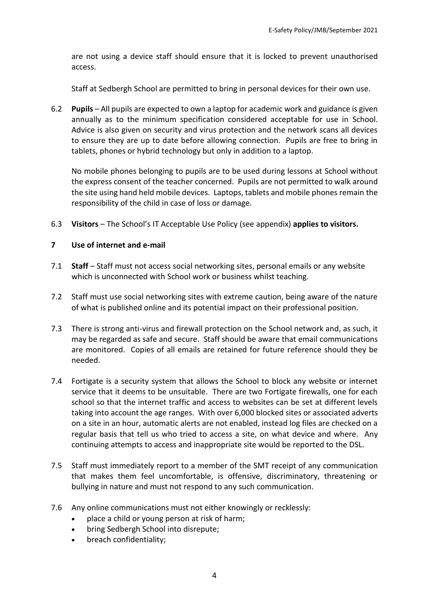are not using a device staff should ensure that it is locked to prevent unauthorised access.

Staff at Sedbergh School are permitted to bring in personal devices for their own use.

6.2 **Pupils** – All pupils are expected to own a laptop for academic work and guidance is given annually as to the minimum specification considered acceptable for use in School. Advice is also given on security and virus protection and the network scans all devices to ensure they are up to date before allowing connection. Pupils are free to bring in tablets, phones or hybrid technology but only in addition to a laptop.

No mobile phones belonging to pupils are to be used during lessons at School without the express consent of the teacher concerned. Pupils are not permitted to walk around the site using hand held mobile devices. Laptops, tablets and mobile phones remain the responsibility of the child in case of loss or damage.

6.3 **Visitors** – The School's IT Acceptable Use Policy (see appendix) **applies to visitors.** 

#### **7 Use of internet and e-mail**

- 7.1 **Staff** Staff must not access social networking sites, personal emails or any website which is unconnected with School work or business whilst teaching.
- 7.2 Staff must use social networking sites with extreme caution, being aware of the nature of what is published online and its potential impact on their professional position.
- 7.3 There is strong anti-virus and firewall protection on the School network and, as such, it may be regarded as safe and secure. Staff should be aware that email communications are monitored. Copies of all emails are retained for future reference should they be needed.
- 7.4 Fortigate is a security system that allows the School to block any website or internet service that it deems to be unsuitable. There are two Fortigate firewalls, one for each school so that the internet traffic and access to websites can be set at different levels taking into account the age ranges. With over 6,000 blocked sites or associated adverts on a site in an hour, automatic alerts are not enabled, instead log files are checked on a regular basis that tell us who tried to access a site, on what device and where. Any continuing attempts to access and inappropriate site would be reported to the DSL.
- 7.5 Staff must immediately report to a member of the SMT receipt of any communication that makes them feel uncomfortable, is offensive, discriminatory, threatening or bullying in nature and must not respond to any such communication.
- 7.6 Any online communications must not either knowingly or recklessly:
	- place a child or young person at risk of harm;
	- bring Sedbergh School into disrepute;
	- breach confidentiality;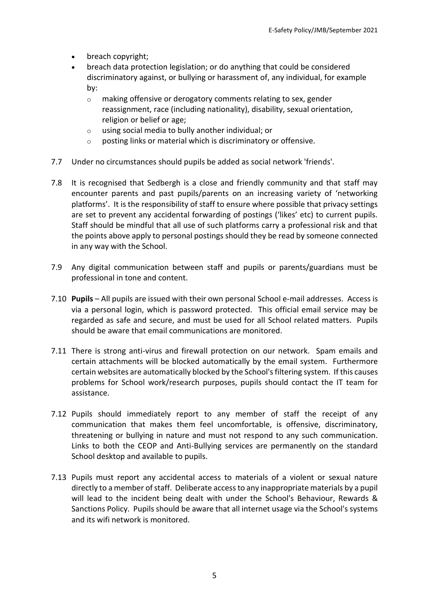- breach copyright;
- breach data protection legislation; or do anything that could be considered discriminatory against, or bullying or harassment of, any individual, for example by:
	- o making offensive or derogatory comments relating to sex, gender reassignment, race (including nationality), disability, sexual orientation, religion or belief or age;
	- o using social media to bully another individual; or
	- o posting links or material which is discriminatory or offensive.
- 7.7 Under no circumstances should pupils be added as social network 'friends'.
- 7.8 It is recognised that Sedbergh is a close and friendly community and that staff may encounter parents and past pupils/parents on an increasing variety of 'networking platforms'. It is the responsibility of staff to ensure where possible that privacy settings are set to prevent any accidental forwarding of postings ('likes' etc) to current pupils. Staff should be mindful that all use of such platforms carry a professional risk and that the points above apply to personal postings should they be read by someone connected in any way with the School.
- 7.9 Any digital communication between staff and pupils or parents/guardians must be professional in tone and content.
- 7.10 **Pupils** All pupils are issued with their own personal School e-mail addresses. Access is via a personal login, which is password protected. This official email service may be regarded as safe and secure, and must be used for all School related matters. Pupils should be aware that email communications are monitored.
- 7.11 There is strong anti-virus and firewall protection on our network. Spam emails and certain attachments will be blocked automatically by the email system. Furthermore certain websites are automatically blocked by the School's filtering system. If this causes problems for School work/research purposes, pupils should contact the IT team for assistance.
- 7.12 Pupils should immediately report to any member of staff the receipt of any communication that makes them feel uncomfortable, is offensive, discriminatory, threatening or bullying in nature and must not respond to any such communication. Links to both the CEOP and Anti-Bullying services are permanently on the standard School desktop and available to pupils.
- 7.13 Pupils must report any accidental access to materials of a violent or sexual nature directly to a member of staff. Deliberate access to any inappropriate materials by a pupil will lead to the incident being dealt with under the School's Behaviour, Rewards & Sanctions Policy. Pupils should be aware that all internet usage via the School's systems and its wifi network is monitored.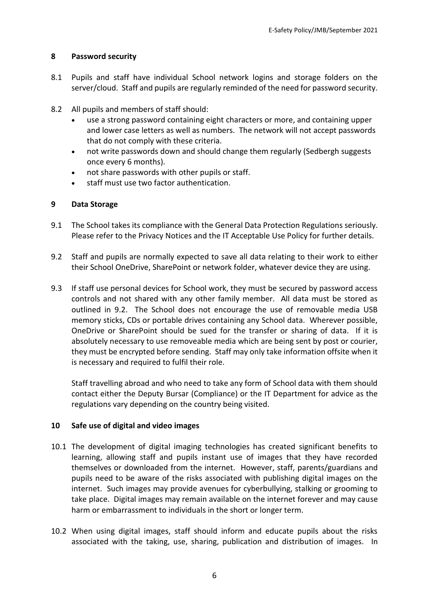## **8 Password security**

- 8.1 Pupils and staff have individual School network logins and storage folders on the server/cloud. Staff and pupils are regularly reminded of the need for password security.
- 8.2 All pupils and members of staff should:
	- use a strong password containing eight characters or more, and containing upper and lower case letters as well as numbers. The network will not accept passwords that do not comply with these criteria.
	- not write passwords down and should change them regularly (Sedbergh suggests once every 6 months).
	- not share passwords with other pupils or staff.
	- staff must use two factor authentication.

## **9 Data Storage**

- 9.1 The School takes its compliance with the General Data Protection Regulations seriously. Please refer to the Privacy Notices and the IT Acceptable Use Policy for further details.
- 9.2 Staff and pupils are normally expected to save all data relating to their work to either their School OneDrive, SharePoint or network folder, whatever device they are using.
- 9.3 If staff use personal devices for School work, they must be secured by password access controls and not shared with any other family member. All data must be stored as outlined in 9.2. The School does not encourage the use of removable media USB memory sticks, CDs or portable drives containing any School data. Wherever possible, OneDrive or SharePoint should be sued for the transfer or sharing of data. If it is absolutely necessary to use removeable media which are being sent by post or courier, they must be encrypted before sending. Staff may only take information offsite when it is necessary and required to fulfil their role.

Staff travelling abroad and who need to take any form of School data with them should contact either the Deputy Bursar (Compliance) or the IT Department for advice as the regulations vary depending on the country being visited.

## **10 Safe use of digital and video images**

- 10.1 The development of digital imaging technologies has created significant benefits to learning, allowing staff and pupils instant use of images that they have recorded themselves or downloaded from the internet. However, staff, parents/guardians and pupils need to be aware of the risks associated with publishing digital images on the internet. Such images may provide avenues for cyberbullying, stalking or grooming to take place. Digital images may remain available on the internet forever and may cause harm or embarrassment to individuals in the short or longer term.
- 10.2 When using digital images, staff should inform and educate pupils about the risks associated with the taking, use, sharing, publication and distribution of images. In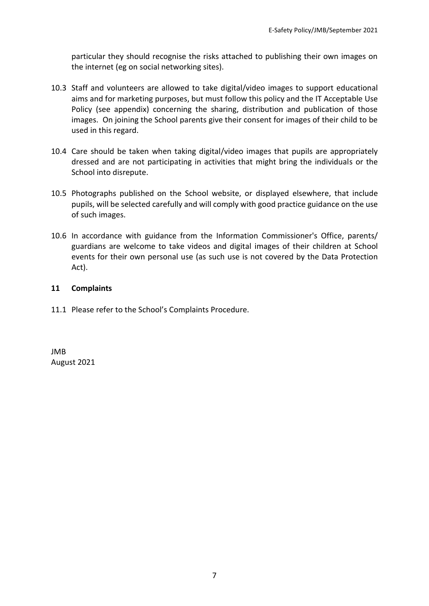particular they should recognise the risks attached to publishing their own images on the internet (eg on social networking sites).

- 10.3 Staff and volunteers are allowed to take digital/video images to support educational aims and for marketing purposes, but must follow this policy and the IT Acceptable Use Policy (see appendix) concerning the sharing, distribution and publication of those images. On joining the School parents give their consent for images of their child to be used in this regard.
- 10.4 Care should be taken when taking digital/video images that pupils are appropriately dressed and are not participating in activities that might bring the individuals or the School into disrepute.
- 10.5 Photographs published on the School website, or displayed elsewhere, that include pupils, will be selected carefully and will comply with good practice guidance on the use of such images.
- 10.6 In accordance with guidance from the Information Commissioner's Office, parents/ guardians are welcome to take videos and digital images of their children at School events for their own personal use (as such use is not covered by the Data Protection Act).

#### **11 Complaints**

11.1Please refer to the School's Complaints Procedure.

JMB August 2021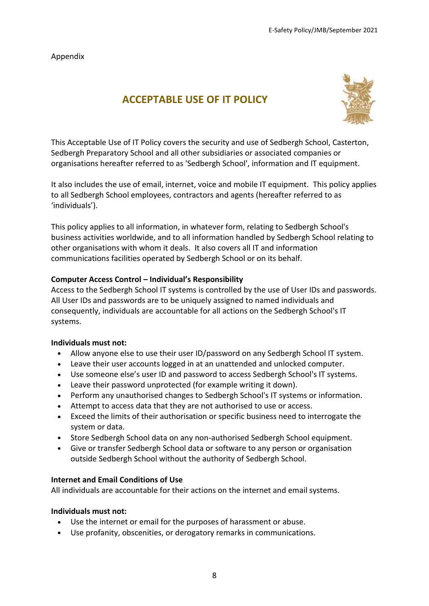Appendix

## **ACCEPTABLE USE OF IT POLICY**



This Acceptable Use of IT Policy covers the security and use of Sedbergh School, Casterton, Sedbergh Preparatory School and all other subsidiaries or associated companies or organisations hereafter referred to as 'Sedbergh School', information and IT equipment.

It also includes the use of email, internet, voice and mobile IT equipment. This policy applies to all Sedbergh School employees, contractors and agents (hereafter referred to as 'individuals').

This policy applies to all information, in whatever form, relating to Sedbergh School's business activities worldwide, and to all information handled by Sedbergh School relating to other organisations with whom it deals. It also covers all IT and information communications facilities operated by Sedbergh School or on its behalf.

## **Computer Access Control – Individual's Responsibility**

Access to the Sedbergh School IT systems is controlled by the use of User IDs and passwords. All User IDs and passwords are to be uniquely assigned to named individuals and consequently, individuals are accountable for all actions on the Sedbergh School's IT systems.

#### **Individuals must not:**

- Allow anyone else to use their user ID/password on any Sedbergh School IT system.
- Leave their user accounts logged in at an unattended and unlocked computer.
- Use someone else's user ID and password to access Sedbergh School's IT systems.
- Leave their password unprotected (for example writing it down).
- Perform any unauthorised changes to Sedbergh School's IT systems or information.
- Attempt to access data that they are not authorised to use or access.
- Exceed the limits of their authorisation or specific business need to interrogate the system or data.
- Store Sedbergh School data on any non-authorised Sedbergh School equipment.
- Give or transfer Sedbergh School data or software to any person or organisation outside Sedbergh School without the authority of Sedbergh School.

#### **Internet and Email Conditions of Use**

All individuals are accountable for their actions on the internet and email systems.

#### **Individuals must not:**

- Use the internet or email for the purposes of harassment or abuse.
- Use profanity, obscenities, or derogatory remarks in communications.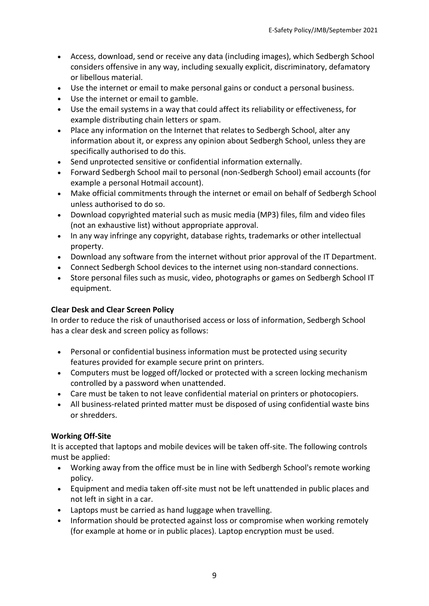- Access, download, send or receive any data (including images), which Sedbergh School considers offensive in any way, including sexually explicit, discriminatory, defamatory or libellous material.
- Use the internet or email to make personal gains or conduct a personal business.
- Use the internet or email to gamble.
- Use the email systems in a way that could affect its reliability or effectiveness, for example distributing chain letters or spam.
- Place any information on the Internet that relates to Sedbergh School, alter any information about it, or express any opinion about Sedbergh School, unless they are specifically authorised to do this.
- Send unprotected sensitive or confidential information externally.
- Forward Sedbergh School mail to personal (non-Sedbergh School) email accounts (for example a personal Hotmail account).
- Make official commitments through the internet or email on behalf of Sedbergh School unless authorised to do so.
- Download copyrighted material such as music media (MP3) files, film and video files (not an exhaustive list) without appropriate approval.
- In any way infringe any copyright, database rights, trademarks or other intellectual property.
- Download any software from the internet without prior approval of the IT Department.
- Connect Sedbergh School devices to the internet using non-standard connections.
- Store personal files such as music, video, photographs or games on Sedbergh School IT equipment.

## **Clear Desk and Clear Screen Policy**

In order to reduce the risk of unauthorised access or loss of information, Sedbergh School has a clear desk and screen policy as follows:

- Personal or confidential business information must be protected using security features provided for example secure print on printers.
- Computers must be logged off/locked or protected with a screen locking mechanism controlled by a password when unattended.
- Care must be taken to not leave confidential material on printers or photocopiers.
- All business-related printed matter must be disposed of using confidential waste bins or shredders.

## **Working Off-Site**

It is accepted that laptops and mobile devices will be taken off-site. The following controls must be applied:

- Working away from the office must be in line with Sedbergh School's remote working policy.
- Equipment and media taken off-site must not be left unattended in public places and not left in sight in a car.
- Laptops must be carried as hand luggage when travelling.
- Information should be protected against loss or compromise when working remotely (for example at home or in public places). Laptop encryption must be used.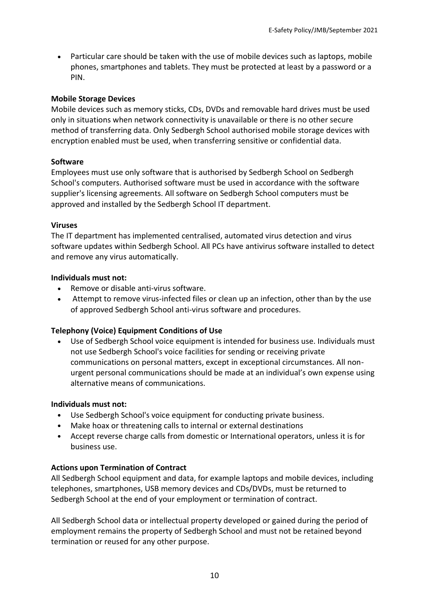• Particular care should be taken with the use of mobile devices such as laptops, mobile phones, smartphones and tablets. They must be protected at least by a password or a PIN.

## **Mobile Storage Devices**

Mobile devices such as memory sticks, CDs, DVDs and removable hard drives must be used only in situations when network connectivity is unavailable or there is no other secure method of transferring data. Only Sedbergh School authorised mobile storage devices with encryption enabled must be used, when transferring sensitive or confidential data.

## **Software**

Employees must use only software that is authorised by Sedbergh School on Sedbergh School's computers. Authorised software must be used in accordance with the software supplier's licensing agreements. All software on Sedbergh School computers must be approved and installed by the Sedbergh School IT department.

## **Viruses**

The IT department has implemented centralised, automated virus detection and virus software updates within Sedbergh School. All PCs have antivirus software installed to detect and remove any virus automatically.

## **Individuals must not:**

- Remove or disable anti-virus software.
- Attempt to remove virus-infected files or clean up an infection, other than by the use of approved Sedbergh School anti-virus software and procedures.

## **Telephony (Voice) Equipment Conditions of Use**

• Use of Sedbergh School voice equipment is intended for business use. Individuals must not use Sedbergh School's voice facilities for sending or receiving private communications on personal matters, except in exceptional circumstances. All nonurgent personal communications should be made at an individual's own expense using alternative means of communications.

## **Individuals must not:**

- Use Sedbergh School's voice equipment for conducting private business.
- Make hoax or threatening calls to internal or external destinations
- Accept reverse charge calls from domestic or International operators, unless it is for business use.

## **Actions upon Termination of Contract**

All Sedbergh School equipment and data, for example laptops and mobile devices, including telephones, smartphones, USB memory devices and CDs/DVDs, must be returned to Sedbergh School at the end of your employment or termination of contract.

All Sedbergh School data or intellectual property developed or gained during the period of employment remains the property of Sedbergh School and must not be retained beyond termination or reused for any other purpose.